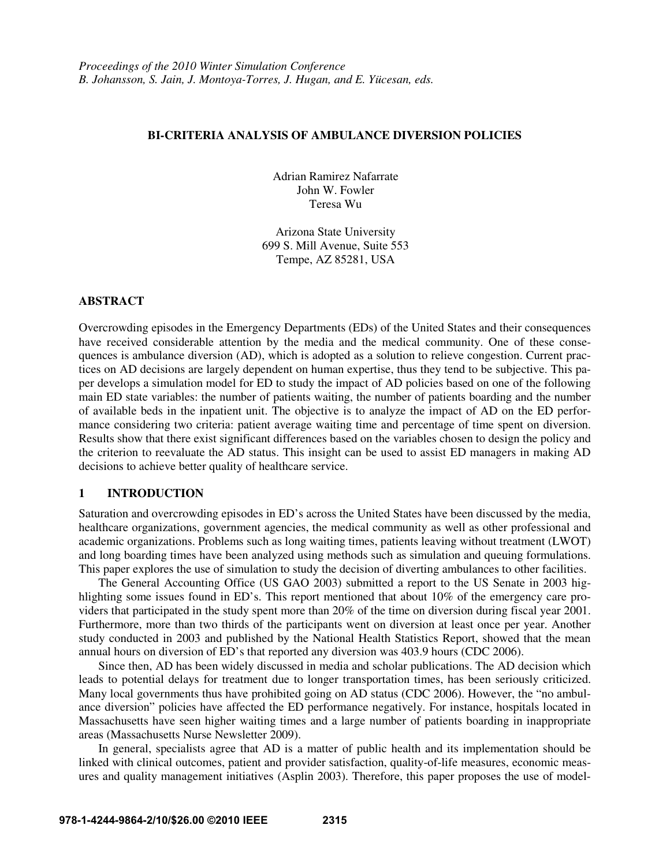### **BI-CRITERIA ANALYSIS OF AMBULANCE DIVERSION POLICIES**

Adrian Ramirez Nafarrate John W. Fowler Teresa Wu

Arizona State University 699 S. Mill Avenue, Suite 553 Tempe, AZ 85281, USA

## **ABSTRACT**

Overcrowding episodes in the Emergency Departments (EDs) of the United States and their consequences have received considerable attention by the media and the medical community. One of these consequences is ambulance diversion (AD), which is adopted as a solution to relieve congestion. Current practices on AD decisions are largely dependent on human expertise, thus they tend to be subjective. This paper develops a simulation model for ED to study the impact of AD policies based on one of the following main ED state variables: the number of patients waiting, the number of patients boarding and the number of available beds in the inpatient unit. The objective is to analyze the impact of AD on the ED performance considering two criteria: patient average waiting time and percentage of time spent on diversion. Results show that there exist significant differences based on the variables chosen to design the policy and the criterion to reevaluate the AD status. This insight can be used to assist ED managers in making AD decisions to achieve better quality of healthcare service.

## **1 INTRODUCTION**

Saturation and overcrowding episodes in ED's across the United States have been discussed by the media, healthcare organizations, government agencies, the medical community as well as other professional and academic organizations. Problems such as long waiting times, patients leaving without treatment (LWOT) and long boarding times have been analyzed using methods such as simulation and queuing formulations. This paper explores the use of simulation to study the decision of diverting ambulances to other facilities.

 The General Accounting Office (US GAO 2003) submitted a report to the US Senate in 2003 highlighting some issues found in ED's. This report mentioned that about 10% of the emergency care providers that participated in the study spent more than 20% of the time on diversion during fiscal year 2001. Furthermore, more than two thirds of the participants went on diversion at least once per year. Another study conducted in 2003 and published by the National Health Statistics Report, showed that the mean annual hours on diversion of ED's that reported any diversion was 403.9 hours (CDC 2006).

 Since then, AD has been widely discussed in media and scholar publications. The AD decision which leads to potential delays for treatment due to longer transportation times, has been seriously criticized. Many local governments thus have prohibited going on AD status (CDC 2006). However, the "no ambulance diversion" policies have affected the ED performance negatively. For instance, hospitals located in Massachusetts have seen higher waiting times and a large number of patients boarding in inappropriate areas (Massachusetts Nurse Newsletter 2009).

 In general, specialists agree that AD is a matter of public health and its implementation should be linked with clinical outcomes, patient and provider satisfaction, quality-of-life measures, economic measures and quality management initiatives (Asplin 2003). Therefore, this paper proposes the use of model-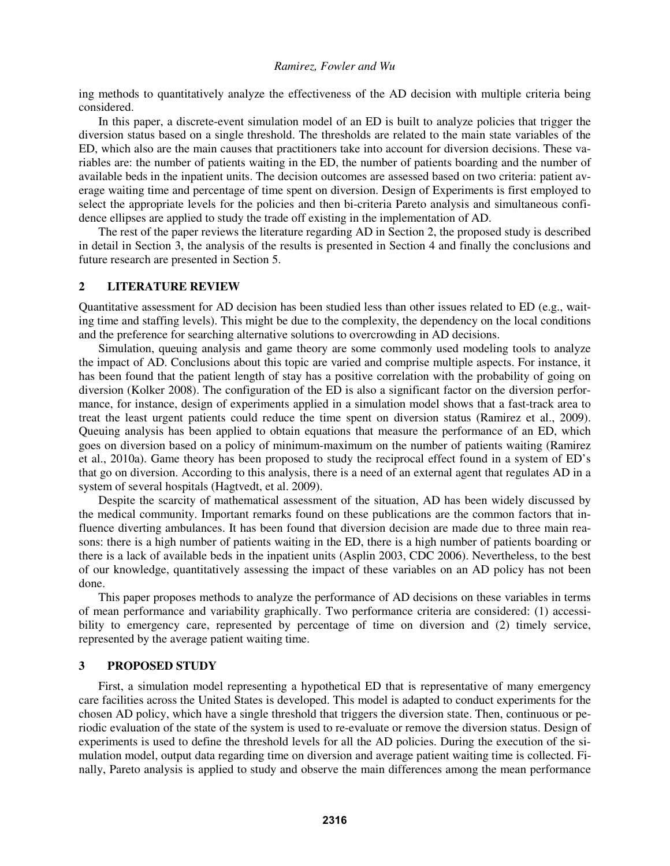ing methods to quantitatively analyze the effectiveness of the AD decision with multiple criteria being considered.

 In this paper, a discrete-event simulation model of an ED is built to analyze policies that trigger the diversion status based on a single threshold. The thresholds are related to the main state variables of the ED, which also are the main causes that practitioners take into account for diversion decisions. These variables are: the number of patients waiting in the ED, the number of patients boarding and the number of available beds in the inpatient units. The decision outcomes are assessed based on two criteria: patient average waiting time and percentage of time spent on diversion. Design of Experiments is first employed to select the appropriate levels for the policies and then bi-criteria Pareto analysis and simultaneous confidence ellipses are applied to study the trade off existing in the implementation of AD.

 The rest of the paper reviews the literature regarding AD in Section 2, the proposed study is described in detail in Section 3, the analysis of the results is presented in Section 4 and finally the conclusions and future research are presented in Section 5.

#### **2 LITERATURE REVIEW**

Quantitative assessment for AD decision has been studied less than other issues related to ED (e.g., waiting time and staffing levels). This might be due to the complexity, the dependency on the local conditions and the preference for searching alternative solutions to overcrowding in AD decisions.

 Simulation, queuing analysis and game theory are some commonly used modeling tools to analyze the impact of AD. Conclusions about this topic are varied and comprise multiple aspects. For instance, it has been found that the patient length of stay has a positive correlation with the probability of going on diversion (Kolker 2008). The configuration of the ED is also a significant factor on the diversion performance, for instance, design of experiments applied in a simulation model shows that a fast-track area to treat the least urgent patients could reduce the time spent on diversion status (Ramirez et al., 2009). Queuing analysis has been applied to obtain equations that measure the performance of an ED, which goes on diversion based on a policy of minimum-maximum on the number of patients waiting (Ramirez et al., 2010a). Game theory has been proposed to study the reciprocal effect found in a system of ED's that go on diversion. According to this analysis, there is a need of an external agent that regulates AD in a system of several hospitals (Hagtvedt, et al. 2009).

 Despite the scarcity of mathematical assessment of the situation, AD has been widely discussed by the medical community. Important remarks found on these publications are the common factors that influence diverting ambulances. It has been found that diversion decision are made due to three main reasons: there is a high number of patients waiting in the ED, there is a high number of patients boarding or there is a lack of available beds in the inpatient units (Asplin 2003, CDC 2006). Nevertheless, to the best of our knowledge, quantitatively assessing the impact of these variables on an AD policy has not been done.

 This paper proposes methods to analyze the performance of AD decisions on these variables in terms of mean performance and variability graphically. Two performance criteria are considered: (1) accessibility to emergency care, represented by percentage of time on diversion and (2) timely service, represented by the average patient waiting time.

## **3 PROPOSED STUDY**

First, a simulation model representing a hypothetical ED that is representative of many emergency care facilities across the United States is developed. This model is adapted to conduct experiments for the chosen AD policy, which have a single threshold that triggers the diversion state. Then, continuous or periodic evaluation of the state of the system is used to re-evaluate or remove the diversion status. Design of experiments is used to define the threshold levels for all the AD policies. During the execution of the simulation model, output data regarding time on diversion and average patient waiting time is collected. Finally, Pareto analysis is applied to study and observe the main differences among the mean performance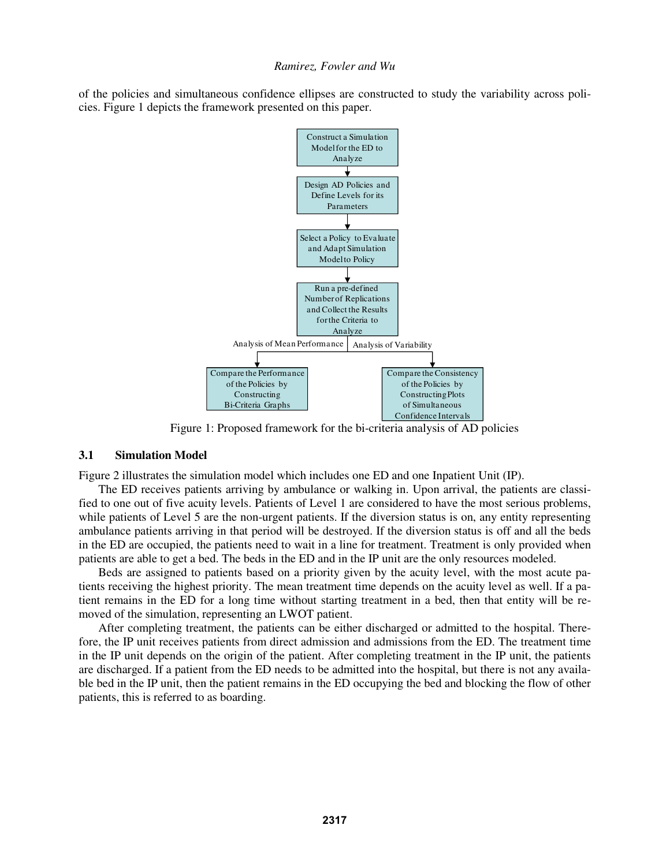of the policies and simultaneous confidence ellipses are constructed to study the variability across policies. Figure 1 depicts the framework presented on this paper.



Figure 1: Proposed framework for the bi-criteria analysis of AD policies

#### **3.1 Simulation Model**

Figure 2 illustrates the simulation model which includes one ED and one Inpatient Unit (IP).

The ED receives patients arriving by ambulance or walking in. Upon arrival, the patients are classified to one out of five acuity levels. Patients of Level 1 are considered to have the most serious problems, while patients of Level 5 are the non-urgent patients. If the diversion status is on, any entity representing ambulance patients arriving in that period will be destroyed. If the diversion status is off and all the beds in the ED are occupied, the patients need to wait in a line for treatment. Treatment is only provided when patients are able to get a bed. The beds in the ED and in the IP unit are the only resources modeled.

Beds are assigned to patients based on a priority given by the acuity level, with the most acute patients receiving the highest priority. The mean treatment time depends on the acuity level as well. If a patient remains in the ED for a long time without starting treatment in a bed, then that entity will be removed of the simulation, representing an LWOT patient.

After completing treatment, the patients can be either discharged or admitted to the hospital. Therefore, the IP unit receives patients from direct admission and admissions from the ED. The treatment time in the IP unit depends on the origin of the patient. After completing treatment in the IP unit, the patients are discharged. If a patient from the ED needs to be admitted into the hospital, but there is not any available bed in the IP unit, then the patient remains in the ED occupying the bed and blocking the flow of other patients, this is referred to as boarding.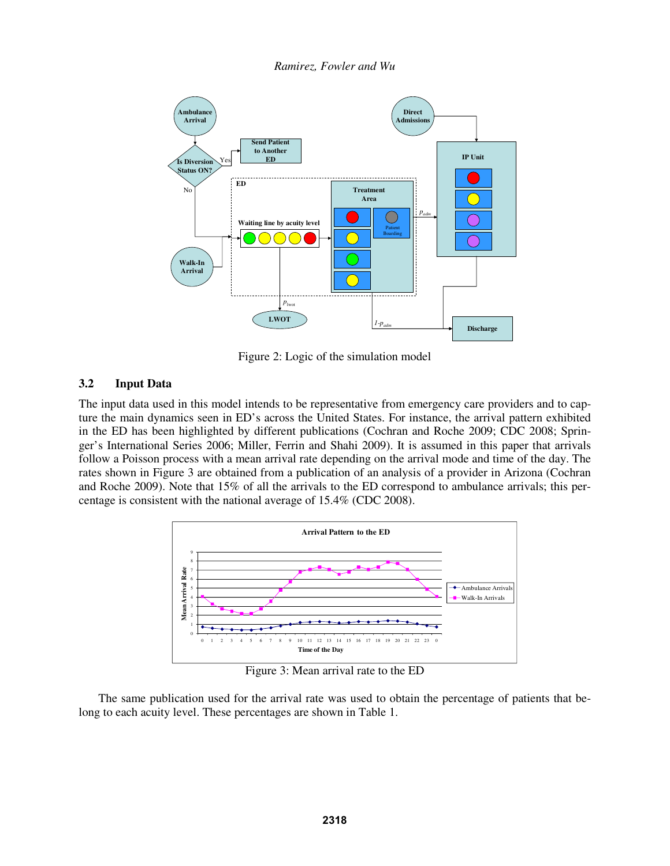*Ramirez, Fowler and Wu* 



Figure 2: Logic of the simulation model

# **3.2 Input Data**

The input data used in this model intends to be representative from emergency care providers and to capture the main dynamics seen in ED's across the United States. For instance, the arrival pattern exhibited in the ED has been highlighted by different publications (Cochran and Roche 2009; CDC 2008; Springer's International Series 2006; Miller, Ferrin and Shahi 2009). It is assumed in this paper that arrivals follow a Poisson process with a mean arrival rate depending on the arrival mode and time of the day. The rates shown in Figure 3 are obtained from a publication of an analysis of a provider in Arizona (Cochran and Roche 2009). Note that 15% of all the arrivals to the ED correspond to ambulance arrivals; this percentage is consistent with the national average of 15.4% (CDC 2008).



Figure 3: Mean arrival rate to the ED

 The same publication used for the arrival rate was used to obtain the percentage of patients that belong to each acuity level. These percentages are shown in Table 1.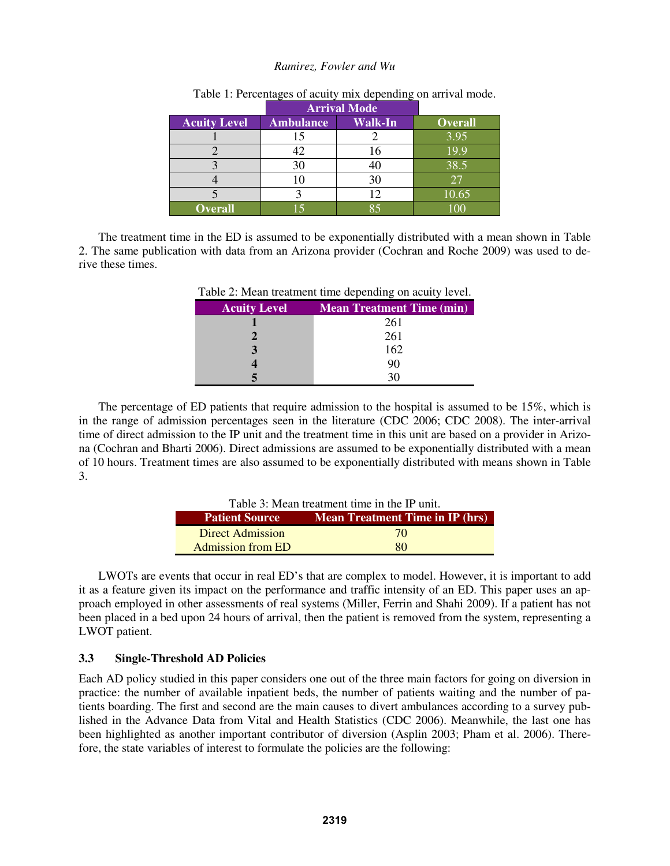|                     | <b>Arrival Mode</b> |                |                |
|---------------------|---------------------|----------------|----------------|
| <b>Acuity Level</b> | <b>Ambulance</b>    | <b>Walk-In</b> | <b>Overall</b> |
|                     |                     |                | 3.95           |
|                     |                     | 16             | 19.9           |
|                     |                     |                | 38.5           |
|                     |                     | 30             | 27             |
|                     |                     | 12             | 10.65          |
| <b>Overall</b>      |                     |                |                |

Table 1: Percentages of acuity mix depending on arrival mode.

 The treatment time in the ED is assumed to be exponentially distributed with a mean shown in Table 2. The same publication with data from an Arizona provider (Cochran and Roche 2009) was used to derive these times.

| <b>Acuity Level</b> | <b>Mean Treatment Time (min)</b> |
|---------------------|----------------------------------|
|                     | 261                              |
|                     | 261                              |
|                     | 162                              |
|                     | 90                               |
|                     |                                  |

Table 2: Mean treatment time depending on acuity level.

 The percentage of ED patients that require admission to the hospital is assumed to be 15%, which is in the range of admission percentages seen in the literature (CDC 2006; CDC 2008). The inter-arrival time of direct admission to the IP unit and the treatment time in this unit are based on a provider in Arizona (Cochran and Bharti 2006). Direct admissions are assumed to be exponentially distributed with a mean of 10 hours. Treatment times are also assumed to be exponentially distributed with means shown in Table 3.

| Table 3: Mean treatment time in the IP unit. |                                        |  |  |  |
|----------------------------------------------|----------------------------------------|--|--|--|
| <b>Patient Source</b>                        | <b>Mean Treatment Time in IP (hrs)</b> |  |  |  |
| Direct Admission                             | 70                                     |  |  |  |
| <b>Admission from ED</b>                     | 80                                     |  |  |  |

 LWOTs are events that occur in real ED's that are complex to model. However, it is important to add it as a feature given its impact on the performance and traffic intensity of an ED. This paper uses an approach employed in other assessments of real systems (Miller, Ferrin and Shahi 2009). If a patient has not been placed in a bed upon 24 hours of arrival, then the patient is removed from the system, representing a LWOT patient.

## **3.3 Single-Threshold AD Policies**

Each AD policy studied in this paper considers one out of the three main factors for going on diversion in practice: the number of available inpatient beds, the number of patients waiting and the number of patients boarding. The first and second are the main causes to divert ambulances according to a survey published in the Advance Data from Vital and Health Statistics (CDC 2006). Meanwhile, the last one has been highlighted as another important contributor of diversion (Asplin 2003; Pham et al. 2006). Therefore, the state variables of interest to formulate the policies are the following: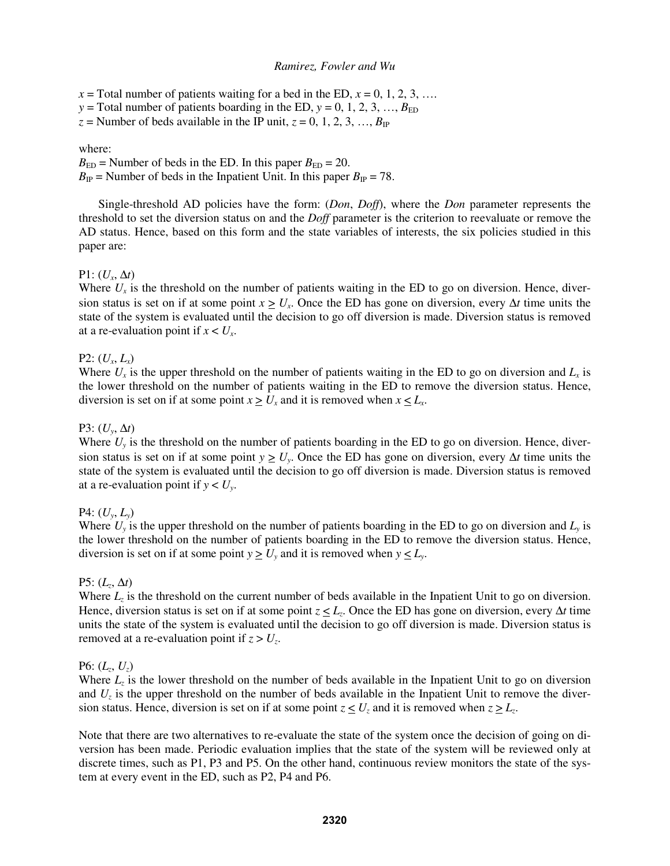$x =$ Total number of patients waiting for a bed in the ED,  $x = 0, 1, 2, 3, \ldots$  $y =$ Total number of patients boarding in the ED,  $y = 0, 1, 2, 3, ..., B_{ED}$  $z =$ Number of beds available in the IP unit,  $z = 0, 1, 2, 3, \ldots, B_{\text{IP}}$ 

#### where:

 $B_{ED}$  = Number of beds in the ED. In this paper  $B_{ED}$  = 20.  $B_{\text{IP}}$  = Number of beds in the Inpatient Unit. In this paper  $B_{\text{IP}}$  = 78.

 Single-threshold AD policies have the form: (*Don*, *Doff*), where the *Don* parameter represents the threshold to set the diversion status on and the *Doff* parameter is the criterion to reevaluate or remove the AD status. Hence, based on this form and the state variables of interests, the six policies studied in this paper are:

#### $P1: (U_x, \Delta t)$

Where  $U_x$  is the threshold on the number of patients waiting in the ED to go on diversion. Hence, diversion status is set on if at some point  $x > U<sub>x</sub>$ . Once the ED has gone on diversion, every  $\Delta t$  time units the state of the system is evaluated until the decision to go off diversion is made. Diversion status is removed at a re-evaluation point if  $x < U_x$ .

#### $P2: (U_x, L_x)$

Where  $U_x$  is the upper threshold on the number of patients waiting in the ED to go on diversion and  $L_x$  is the lower threshold on the number of patients waiting in the ED to remove the diversion status. Hence, diversion is set on if at some point  $x > U_x$  and it is removed when  $x < L_x$ .

## P3: (*Uy*, ∆*t*)

Where  $U_y$  is the threshold on the number of patients boarding in the ED to go on diversion. Hence, diversion status is set on if at some point  $y \ge U_y$ . Once the ED has gone on diversion, every  $\Delta t$  time units the state of the system is evaluated until the decision to go off diversion is made. Diversion status is removed at a re-evaluation point if  $y < U_y$ .

## P4: (*Uy*, *Ly*)

Where  $U_y$  is the upper threshold on the number of patients boarding in the ED to go on diversion and  $L_y$  is the lower threshold on the number of patients boarding in the ED to remove the diversion status. Hence, diversion is set on if at some point  $y \ge U_y$  and it is removed when  $y < L_y$ .

## P5:  $(L_z, \Delta t)$

Where *L<sub>z</sub>* is the threshold on the current number of beds available in the Inpatient Unit to go on diversion. Hence, diversion status is set on if at some point  $z \leq L_z$ . Once the ED has gone on diversion, every  $\Delta t$  time units the state of the system is evaluated until the decision to go off diversion is made. Diversion status is removed at a re-evaluation point if  $z > U_z$ .

## P6: (*Lz*, *Uz*)

Where  $L<sub>z</sub>$  is the lower threshold on the number of beds available in the Inpatient Unit to go on diversion and  $U<sub>z</sub>$  is the upper threshold on the number of beds available in the Inpatient Unit to remove the diversion status. Hence, diversion is set on if at some point  $z \le U_z$  and it is removed when  $z \ge L_z$ .

Note that there are two alternatives to re-evaluate the state of the system once the decision of going on diversion has been made. Periodic evaluation implies that the state of the system will be reviewed only at discrete times, such as P1, P3 and P5. On the other hand, continuous review monitors the state of the system at every event in the ED, such as P2, P4 and P6.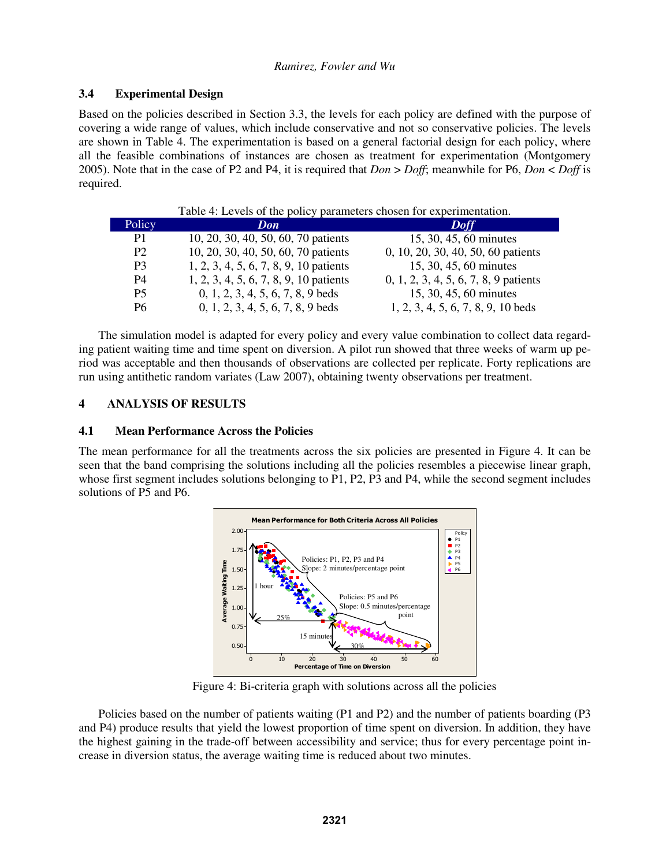# **3.4 Experimental Design**

Based on the policies described in Section 3.3, the levels for each policy are defined with the purpose of covering a wide range of values, which include conservative and not so conservative policies. The levels are shown in Table 4. The experimentation is based on a general factorial design for each policy, where all the feasible combinations of instances are chosen as treatment for experimentation (Montgomery 2005). Note that in the case of P2 and P4, it is required that *Don* > *Doff*; meanwhile for P6, *Don* < *Doff* is required.

| Table 4: Levels of the policy parameters chosen for experimentation. |                                        |                                       |  |  |
|----------------------------------------------------------------------|----------------------------------------|---------------------------------------|--|--|
| Policy                                                               | Don                                    | <b>Doff</b>                           |  |  |
| P <sub>1</sub>                                                       | 10, 20, 30, 40, 50, 60, 70 patients    | 15, 30, 45, 60 minutes                |  |  |
| P <sub>2</sub>                                                       | 10, 20, 30, 40, 50, 60, 70 patients    | 0, 10, 20, 30, 40, 50, 60 patients    |  |  |
| P <sub>3</sub>                                                       | 1, 2, 3, 4, 5, 6, 7, 8, 9, 10 patients | 15, 30, 45, 60 minutes                |  |  |
| P <sub>4</sub>                                                       | 1, 2, 3, 4, 5, 6, 7, 8, 9, 10 patients | 0, 1, 2, 3, 4, 5, 6, 7, 8, 9 patients |  |  |
| P <sub>5</sub>                                                       | $0, 1, 2, 3, 4, 5, 6, 7, 8, 9$ beds    | 15, 30, 45, 60 minutes                |  |  |
| P6                                                                   | $0, 1, 2, 3, 4, 5, 6, 7, 8, 9$ beds    | $1, 2, 3, 4, 5, 6, 7, 8, 9, 10$ beds  |  |  |

The simulation model is adapted for every policy and every value combination to collect data regarding patient waiting time and time spent on diversion. A pilot run showed that three weeks of warm up pe-

riod was acceptable and then thousands of observations are collected per replicate. Forty replications are

run using antithetic random variates (Law 2007), obtaining twenty observations per treatment.

# **4 ANALYSIS OF RESULTS**

# **4.1 Mean Performance Across the Policies**

The mean performance for all the treatments across the six policies are presented in Figure 4. It can be seen that the band comprising the solutions including all the policies resembles a piecewise linear graph, whose first segment includes solutions belonging to P1, P2, P3 and P4, while the second segment includes solutions of P5 and P6.



Figure 4: Bi-criteria graph with solutions across all the policies

Policies based on the number of patients waiting (P1 and P2) and the number of patients boarding (P3 and P4) produce results that yield the lowest proportion of time spent on diversion. In addition, they have the highest gaining in the trade-off between accessibility and service; thus for every percentage point increase in diversion status, the average waiting time is reduced about two minutes.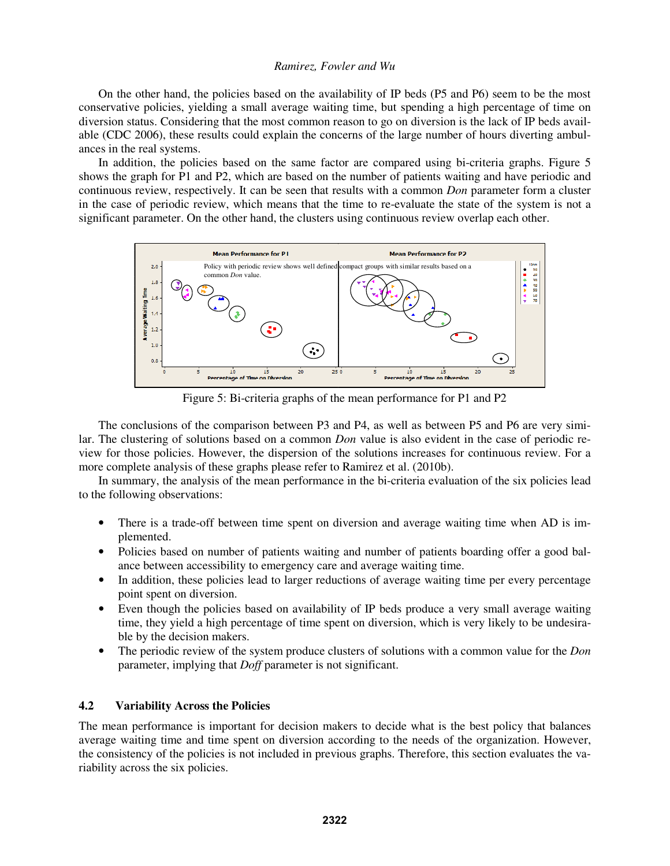On the other hand, the policies based on the availability of IP beds (P5 and P6) seem to be the most conservative policies, yielding a small average waiting time, but spending a high percentage of time on diversion status. Considering that the most common reason to go on diversion is the lack of IP beds available (CDC 2006), these results could explain the concerns of the large number of hours diverting ambulances in the real systems.

 In addition, the policies based on the same factor are compared using bi-criteria graphs. Figure 5 shows the graph for P1 and P2, which are based on the number of patients waiting and have periodic and continuous review, respectively. It can be seen that results with a common *Don* parameter form a cluster in the case of periodic review, which means that the time to re-evaluate the state of the system is not a significant parameter. On the other hand, the clusters using continuous review overlap each other.



Figure 5: Bi-criteria graphs of the mean performance for P1 and P2

The conclusions of the comparison between P3 and P4, as well as between P5 and P6 are very similar. The clustering of solutions based on a common *Don* value is also evident in the case of periodic review for those policies. However, the dispersion of the solutions increases for continuous review. For a more complete analysis of these graphs please refer to Ramirez et al. (2010b).

In summary, the analysis of the mean performance in the bi-criteria evaluation of the six policies lead to the following observations:

- There is a trade-off between time spent on diversion and average waiting time when AD is implemented.
- Policies based on number of patients waiting and number of patients boarding offer a good balance between accessibility to emergency care and average waiting time.
- In addition, these policies lead to larger reductions of average waiting time per every percentage point spent on diversion.
- Even though the policies based on availability of IP beds produce a very small average waiting time, they yield a high percentage of time spent on diversion, which is very likely to be undesirable by the decision makers.
- The periodic review of the system produce clusters of solutions with a common value for the *Don* parameter, implying that *Doff* parameter is not significant.

# **4.2 Variability Across the Policies**

The mean performance is important for decision makers to decide what is the best policy that balances average waiting time and time spent on diversion according to the needs of the organization. However, the consistency of the policies is not included in previous graphs. Therefore, this section evaluates the variability across the six policies.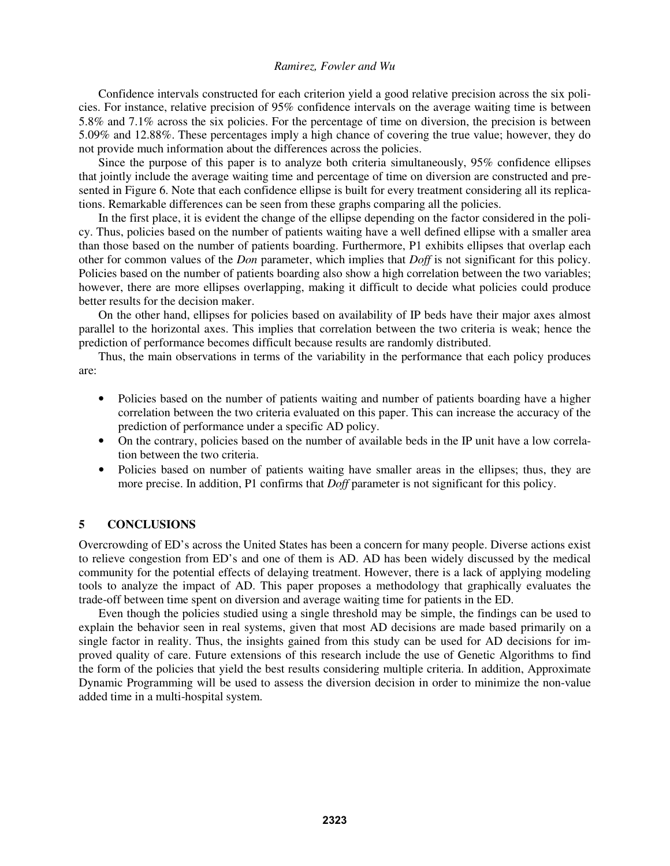Confidence intervals constructed for each criterion yield a good relative precision across the six policies. For instance, relative precision of 95% confidence intervals on the average waiting time is between 5.8% and 7.1% across the six policies. For the percentage of time on diversion, the precision is between 5.09% and 12.88%. These percentages imply a high chance of covering the true value; however, they do not provide much information about the differences across the policies.

Since the purpose of this paper is to analyze both criteria simultaneously, 95% confidence ellipses that jointly include the average waiting time and percentage of time on diversion are constructed and presented in Figure 6. Note that each confidence ellipse is built for every treatment considering all its replications. Remarkable differences can be seen from these graphs comparing all the policies.

In the first place, it is evident the change of the ellipse depending on the factor considered in the policy. Thus, policies based on the number of patients waiting have a well defined ellipse with a smaller area than those based on the number of patients boarding. Furthermore, P1 exhibits ellipses that overlap each other for common values of the *Don* parameter, which implies that *Doff* is not significant for this policy. Policies based on the number of patients boarding also show a high correlation between the two variables; however, there are more ellipses overlapping, making it difficult to decide what policies could produce better results for the decision maker.

On the other hand, ellipses for policies based on availability of IP beds have their major axes almost parallel to the horizontal axes. This implies that correlation between the two criteria is weak; hence the prediction of performance becomes difficult because results are randomly distributed.

 Thus, the main observations in terms of the variability in the performance that each policy produces are:

- Policies based on the number of patients waiting and number of patients boarding have a higher correlation between the two criteria evaluated on this paper. This can increase the accuracy of the prediction of performance under a specific AD policy.
- On the contrary, policies based on the number of available beds in the IP unit have a low correlation between the two criteria.
- Policies based on number of patients waiting have smaller areas in the ellipses; thus, they are more precise. In addition, P1 confirms that *Doff* parameter is not significant for this policy.

# **5 CONCLUSIONS**

Overcrowding of ED's across the United States has been a concern for many people. Diverse actions exist to relieve congestion from ED's and one of them is AD. AD has been widely discussed by the medical community for the potential effects of delaying treatment. However, there is a lack of applying modeling tools to analyze the impact of AD. This paper proposes a methodology that graphically evaluates the trade-off between time spent on diversion and average waiting time for patients in the ED.

Even though the policies studied using a single threshold may be simple, the findings can be used to explain the behavior seen in real systems, given that most AD decisions are made based primarily on a single factor in reality. Thus, the insights gained from this study can be used for AD decisions for improved quality of care. Future extensions of this research include the use of Genetic Algorithms to find the form of the policies that yield the best results considering multiple criteria. In addition, Approximate Dynamic Programming will be used to assess the diversion decision in order to minimize the non-value added time in a multi-hospital system.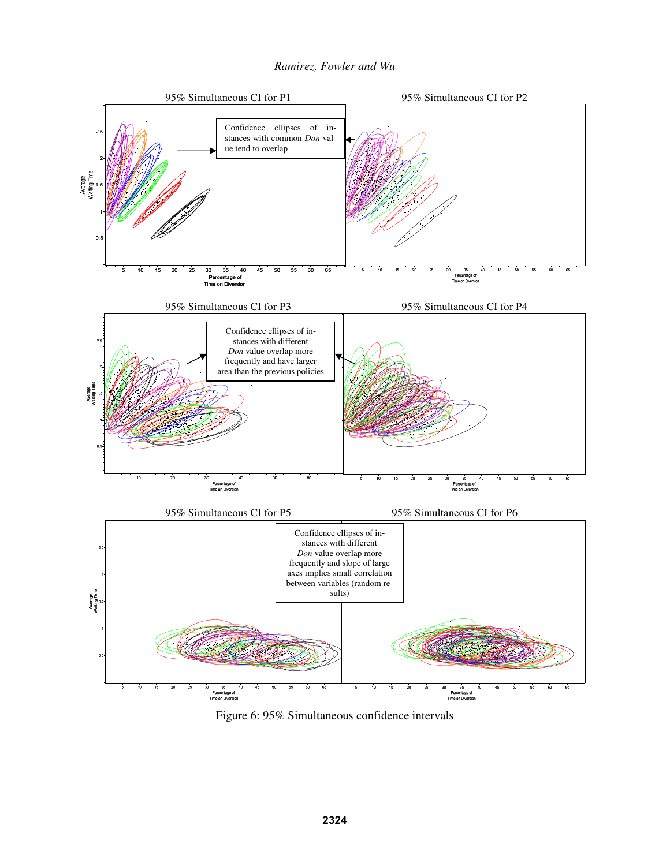

Figure 6: 95% Simultaneous confidence intervals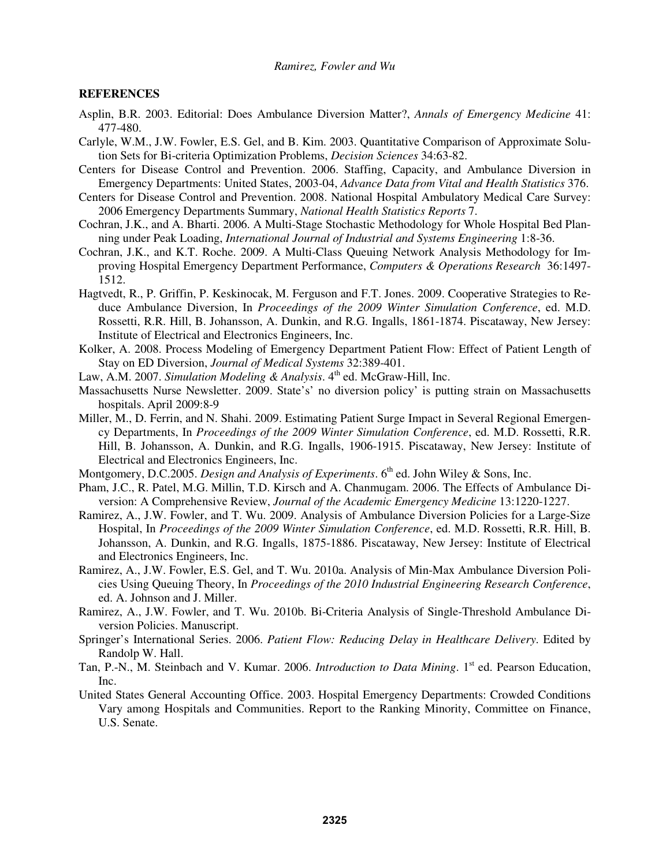### **REFERENCES**

- Asplin, B.R. 2003. Editorial: Does Ambulance Diversion Matter?, *Annals of Emergency Medicine* 41: 477-480.
- Carlyle, W.M., J.W. Fowler, E.S. Gel, and B. Kim. 2003. Quantitative Comparison of Approximate Solution Sets for Bi-criteria Optimization Problems, *Decision Sciences* 34:63-82.
- Centers for Disease Control and Prevention. 2006. Staffing, Capacity, and Ambulance Diversion in Emergency Departments: United States, 2003-04, *Advance Data from Vital and Health Statistics* 376.
- Centers for Disease Control and Prevention. 2008. National Hospital Ambulatory Medical Care Survey: 2006 Emergency Departments Summary, *National Health Statistics Reports* 7.
- Cochran, J.K., and A. Bharti. 2006. A Multi-Stage Stochastic Methodology for Whole Hospital Bed Planning under Peak Loading, *International Journal of Industrial and Systems Engineering* 1:8-36.
- Cochran, J.K., and K.T. Roche. 2009. A Multi-Class Queuing Network Analysis Methodology for Improving Hospital Emergency Department Performance, *Computers & Operations Research* 36:1497- 1512.
- Hagtvedt, R., P. Griffin, P. Keskinocak, M. Ferguson and F.T. Jones. 2009. Cooperative Strategies to Reduce Ambulance Diversion, In *Proceedings of the 2009 Winter Simulation Conference*, ed. M.D. Rossetti, R.R. Hill, B. Johansson, A. Dunkin, and R.G. Ingalls, 1861-1874. Piscataway, New Jersey: Institute of Electrical and Electronics Engineers, Inc.
- Kolker, A. 2008. Process Modeling of Emergency Department Patient Flow: Effect of Patient Length of Stay on ED Diversion, *Journal of Medical Systems* 32:389-401.
- Law, A.M. 2007. *Simulation Modeling & Analysis*. 4<sup>th</sup> ed. McGraw-Hill, Inc.
- Massachusetts Nurse Newsletter. 2009. State's' no diversion policy' is putting strain on Massachusetts hospitals. April 2009:8-9
- Miller, M., D. Ferrin, and N. Shahi. 2009. Estimating Patient Surge Impact in Several Regional Emergency Departments, In *Proceedings of the 2009 Winter Simulation Conference*, ed. M.D. Rossetti, R.R. Hill, B. Johansson, A. Dunkin, and R.G. Ingalls, 1906-1915. Piscataway, New Jersey: Institute of Electrical and Electronics Engineers, Inc.
- Montgomery, D.C.2005. *Design and Analysis of Experiments*. 6<sup>th</sup> ed. John Wiley & Sons, Inc.
- Pham, J.C., R. Patel, M.G. Millin, T.D. Kirsch and A. Chanmugam. 2006. The Effects of Ambulance Diversion: A Comprehensive Review, *Journal of the Academic Emergency Medicine* 13:1220-1227.
- Ramirez, A., J.W. Fowler, and T. Wu. 2009. Analysis of Ambulance Diversion Policies for a Large-Size Hospital, In *Proceedings of the 2009 Winter Simulation Conference*, ed. M.D. Rossetti, R.R. Hill, B. Johansson, A. Dunkin, and R.G. Ingalls, 1875-1886. Piscataway, New Jersey: Institute of Electrical and Electronics Engineers, Inc.
- Ramirez, A., J.W. Fowler, E.S. Gel, and T. Wu. 2010a. Analysis of Min-Max Ambulance Diversion Policies Using Queuing Theory, In *Proceedings of the 2010 Industrial Engineering Research Conference*, ed. A. Johnson and J. Miller.
- Ramirez, A., J.W. Fowler, and T. Wu. 2010b. Bi-Criteria Analysis of Single-Threshold Ambulance Diversion Policies. Manuscript.
- Springer's International Series. 2006. *Patient Flow: Reducing Delay in Healthcare Delivery*. Edited by Randolp W. Hall.
- Tan, P.-N., M. Steinbach and V. Kumar. 2006. *Introduction to Data Mining*. 1<sup>st</sup> ed. Pearson Education, Inc.
- United States General Accounting Office. 2003. Hospital Emergency Departments: Crowded Conditions Vary among Hospitals and Communities. Report to the Ranking Minority, Committee on Finance, U.S. Senate.